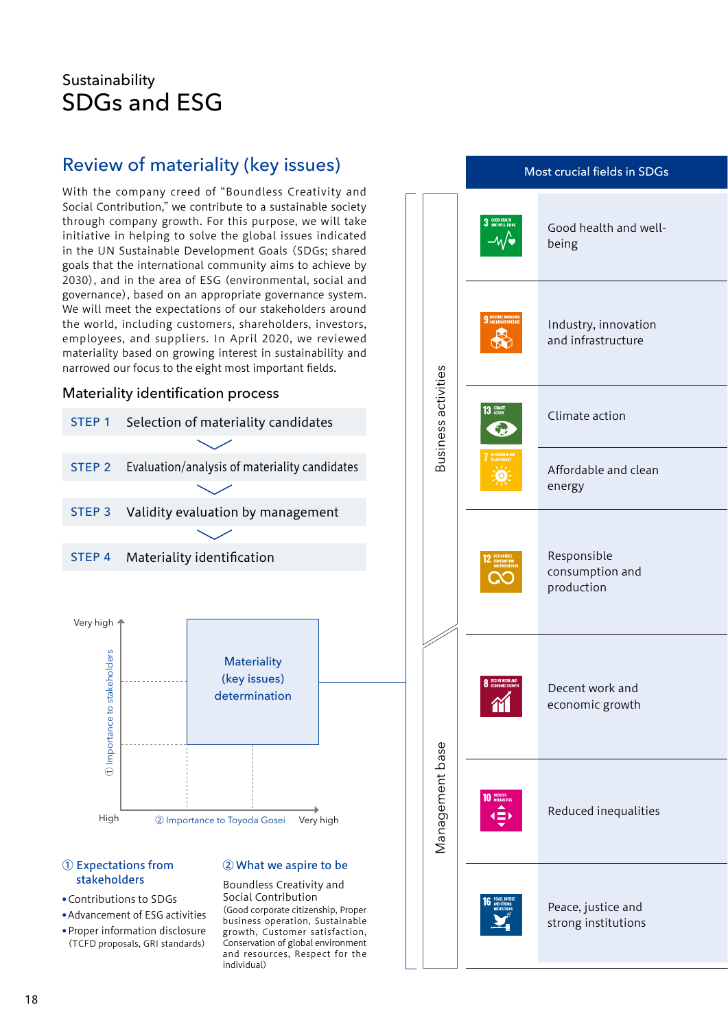# Sustainability SDGs and ESG

## Review of materiality (key issues)

With the company creed of "Boundless Creativity and Social Contribution," we contribute to a sustainable society through company growth. For this purpose, we will take initiative in helping to solve the global issues indicated in the UN Sustainable Development Goals (SDGs; shared goals that the international community aims to achieve by 2030), and in the area of ESG (environmental, social and governance), based on an appropriate governance system. We will meet the expectations of our stakeholders around the world, including customers, shareholders, investors, employees, and suppliers. In April 2020, we reviewed materiality based on growing interest in sustainability and narrowed our focus to the eight most important fields.

### Materiality identification process



#### ① Expectations from stakeholders

- Contributions to SDGs
- Advancement of ESG activities

● Proper information disclosure (TCFD proposals, GRI standards)

### ② What we aspire to be

## Boundless Creativity and

Social Contribution (Good corporate citizenship, Proper business operation, Sustainable growth, Customer satisfaction, Conservation of global environment and resources, Respect for the individual)